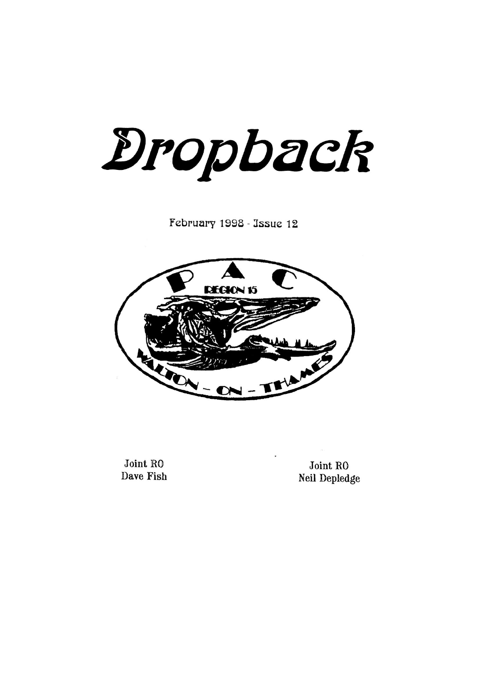Dropback

February 1998 - Issue 12



Joint RO **Dave Fish** 

Joint RO Neil Depledge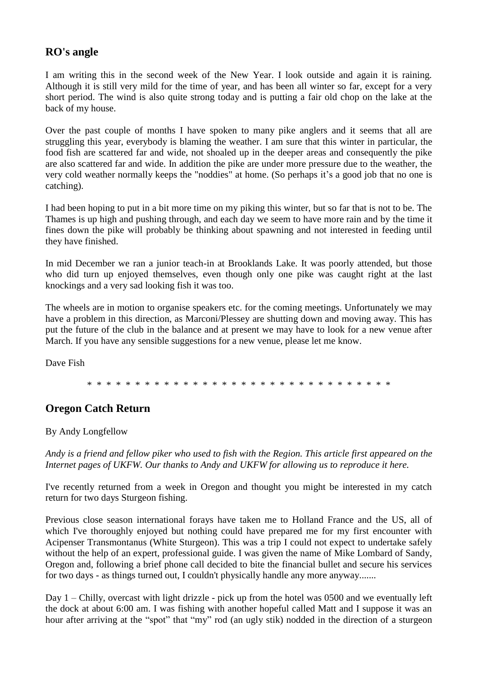## **RO's angle**

I am writing this in the second week of the New Year. I look outside and again it is raining. Although it is still very mild for the time of year, and has been all winter so far, except for a very short period. The wind is also quite strong today and is putting a fair old chop on the lake at the back of my house.

Over the past couple of months I have spoken to many pike anglers and it seems that all are struggling this year, everybody is blaming the weather. I am sure that this winter in particular, the food fish are scattered far and wide, not shoaled up in the deeper areas and consequently the pike are also scattered far and wide. In addition the pike are under more pressure due to the weather, the very cold weather normally keeps the "noddies" at home. (So perhaps it's a good job that no one is catching).

I had been hoping to put in a bit more time on my piking this winter, but so far that is not to be. The Thames is up high and pushing through, and each day we seem to have more rain and by the time it fines down the pike will probably be thinking about spawning and not interested in feeding until they have finished.

In mid December we ran a junior teach-in at Brooklands Lake. It was poorly attended, but those who did turn up enjoyed themselves, even though only one pike was caught right at the last knockings and a very sad looking fish it was too.

The wheels are in motion to organise speakers etc. for the coming meetings. Unfortunately we may have a problem in this direction, as Marconi/Plessey are shutting down and moving away. This has put the future of the club in the balance and at present we may have to look for a new venue after March. If you have any sensible suggestions for a new venue, please let me know.

Dave Fish

\* \* \* \* \* \* \* \* \* \* \* \* \* \* \* \* \* \* \* \* \* \* \* \* \* \* \* \* \* \* \* \*

# **Oregon Catch Return**

#### By Andy Longfellow

*Andy is a friend and fellow piker who used to fish with the Region. This article first appeared on the Internet pages of UKFW. Our thanks to Andy and UKFW for allowing us to reproduce it here.*

I've recently returned from a week in Oregon and thought you might be interested in my catch return for two days Sturgeon fishing.

Previous close season international forays have taken me to Holland France and the US, all of which I've thoroughly enjoyed but nothing could have prepared me for my first encounter with Acipenser Transmontanus (White Sturgeon). This was a trip I could not expect to undertake safely without the help of an expert, professional guide. I was given the name of Mike Lombard of Sandy, Oregon and, following a brief phone call decided to bite the financial bullet and secure his services for two days - as things turned out, I couldn't physically handle any more anyway.......

Day 1 – Chilly, overcast with light drizzle - pick up from the hotel was 0500 and we eventually left the dock at about 6:00 am. I was fishing with another hopeful called Matt and I suppose it was an hour after arriving at the "spot" that "my" rod (an ugly stik) nodded in the direction of a sturgeon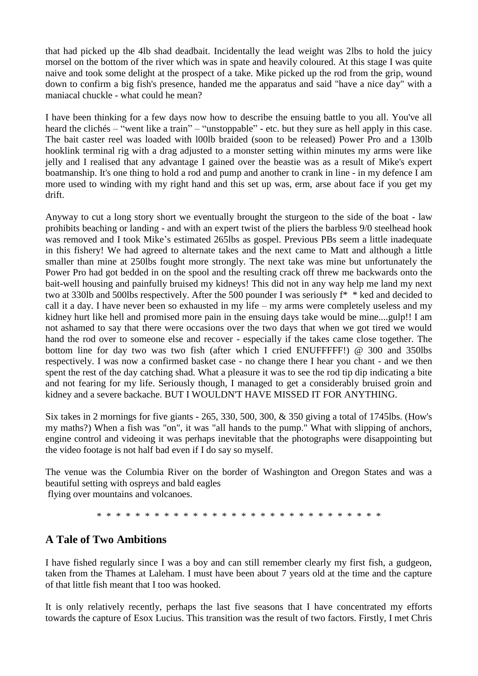that had picked up the 4lb shad deadbait. Incidentally the lead weight was 2lbs to hold the juicy morsel on the bottom of the river which was in spate and heavily coloured. At this stage I was quite naive and took some delight at the prospect of a take. Mike picked up the rod from the grip, wound down to confirm a big fish's presence, handed me the apparatus and said "have a nice day" with a maniacal chuckle - what could he mean?

I have been thinking for a few days now how to describe the ensuing battle to you all. You've all heard the clichés – "went like a train" – "unstoppable" - etc. but they sure as hell apply in this case. The bait caster reel was loaded with l00lb braided (soon to be released) Power Pro and a 130lb hooklink terminal rig with a drag adjusted to a monster setting within minutes my arms were like jelly and I realised that any advantage I gained over the beastie was as a result of Mike's expert boatmanship. It's one thing to hold a rod and pump and another to crank in line - in my defence I am more used to winding with my right hand and this set up was, erm, arse about face if you get my drift.

Anyway to cut a long story short we eventually brought the sturgeon to the side of the boat - law prohibits beaching or landing - and with an expert twist of the pliers the barbless 9/0 steelhead hook was removed and I took Mike's estimated 265lbs as gospel. Previous PBs seem a little inadequate in this fishery! We had agreed to alternate takes and the next came to Matt and although a little smaller than mine at 250lbs fought more strongly. The next take was mine but unfortunately the Power Pro had got bedded in on the spool and the resulting crack off threw me backwards onto the bait-well housing and painfully bruised my kidneys! This did not in any way help me land my next two at 330lb and 500lbs respectively. After the 500 pounder I was seriously f\* \* ked and decided to call it a day. I have never been so exhausted in my life – my arms were completely useless and my kidney hurt like hell and promised more pain in the ensuing days take would be mine....gulp!! I am not ashamed to say that there were occasions over the two days that when we got tired we would hand the rod over to someone else and recover - especially if the takes came close together. The bottom line for day two was two fish (after which I cried ENUFFFFF!) @ 300 and 350lbs respectively. I was now a confirmed basket case - no change there I hear you chant - and we then spent the rest of the day catching shad. What a pleasure it was to see the rod tip dip indicating a bite and not fearing for my life. Seriously though, I managed to get a considerably bruised groin and kidney and a severe backache. BUT I WOULDN'T HAVE MISSED IT FOR ANYTHING.

Six takes in 2 mornings for five giants - 265, 330, 500, 300, & 350 giving a total of 1745lbs. (How's my maths?) When a fish was "on", it was "all hands to the pump." What with slipping of anchors, engine control and videoing it was perhaps inevitable that the photographs were disappointing but the video footage is not half bad even if I do say so myself.

The venue was the Columbia River on the border of Washington and Oregon States and was a beautiful setting with ospreys and bald eagles flying over mountains and volcanoes.

\* \* \* \* \* \* \* \* \* \* \* \* \* \* \* \* \* \* \* \* \* \* \* \* \* \* \* \* \* \*

## **A Tale of Two Ambitions**

I have fished regularly since I was a boy and can still remember clearly my first fish, a gudgeon, taken from the Thames at Laleham. I must have been about 7 years old at the time and the capture of that little fish meant that I too was hooked.

It is only relatively recently, perhaps the last five seasons that I have concentrated my efforts towards the capture of Esox Lucius. This transition was the result of two factors. Firstly, I met Chris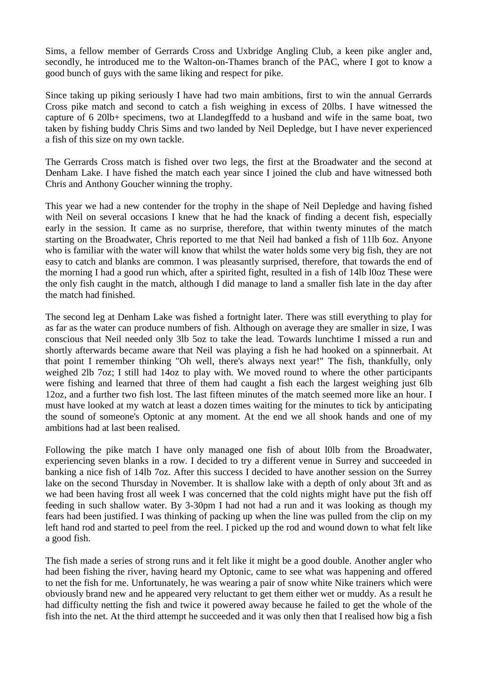Sims, a fellow member of Gerrards Cross and Uxbridge Angling Club, a keen pike angler and, secondly, he introduced me to the Walton-on-Thames branch of the PAC, where I got to know a good bunch of guys with the same liking and respect for pike.

Since taking up piking seriously I have had two main ambitions, first to win the annual Gerrards Cross pike match and second to catch a fish weighing in excess of 20lbs. I have witnessed the capture of 6 20lb+ specimens, two at Llandegffedd to a husband and wife in the same boat, two taken by fishing buddy Chris Sims and two landed by Neil Depledge, but I have never experienced a fish of this size on my own tackle.

The Gerrards Cross match is fished over two legs, the first at the Broadwater and the second at Denham Lake. I have fished the match each year since I joined the club and have witnessed both Chris and Anthony Goucher winning the trophy.

This year we had a new contender for the trophy in the shape of Neil Depledge and having fished with Neil on several occasions I knew that he had the knack of finding a decent fish, especially early in the session. It came as no surprise, therefore, that within twenty minutes of the match starting on the Broadwater, Chris reported to me that Neil had banked a fish of 11lb 6oz. Anyone who is familiar with the water will know that whilst the water holds some very big fish, they are not easy to catch and blanks are common. I was pleasantly surprised, therefore, that towards the end of the morning I had a good run which, after a spirited fight, resulted in a fish of 14lb l0oz These were the only fish caught in the match, although I did manage to land a smaller fish late in the day after the match had finished.

The second leg at Denham Lake was fished a fortnight later. There was still everything to play for as far as the water can produce numbers of fish. Although on average they are smaller in size, I was conscious that Neil needed only 3lb 5oz to take the lead. Towards lunchtime I missed a run and shortly afterwards became aware that Neil was playing a fish he had hooked on a spinnerbait. At that point I remember thinking "Oh well, there's always next year!" The fish, thankfully, only weighed 2lb 7oz; I still had 14oz to play with. We moved round to where the other participants were fishing and learned that three of them had caught a fish each the largest weighing just 6lb 12oz, and a further two fish lost. The last fifteen minutes of the match seemed more like an hour. I must have looked at my watch at least a dozen times waiting for the minutes to tick by anticipating the sound of someone's Optonic at any moment. At the end we all shook hands and one of my ambitions had at last been realised.

Following the pike match I have only managed one fish of about l0lb from the Broadwater, experiencing seven blanks in a row. I decided to try a different venue in Surrey and succeeded in banking a nice fish of 14lb 7oz. After this success I decided to have another session on the Surrey lake on the second Thursday in November. It is shallow lake with a depth of only about 3ft and as we had been having frost all week I was concerned that the cold nights might have put the fish off feeding in such shallow water. By 3-30pm I had not had a run and it was looking as though my fears had been justified. I was thinking of packing up when the line was pulled from the clip on my left hand rod and started to peel from the reel. I picked up the rod and wound down to what felt like a good fish.

The fish made a series of strong runs and it felt like it might be a good double. Another angler who had been fishing the river, having heard my Optonic, came to see what was happening and offered to net the fish for me. Unfortunately, he was wearing a pair of snow white Nike trainers which were obviously brand new and he appeared very reluctant to get them either wet or muddy. As a result he had difficulty netting the fish and twice it powered away because he failed to get the whole of the fish into the net. At the third attempt he succeeded and it was only then that I realised how big a fish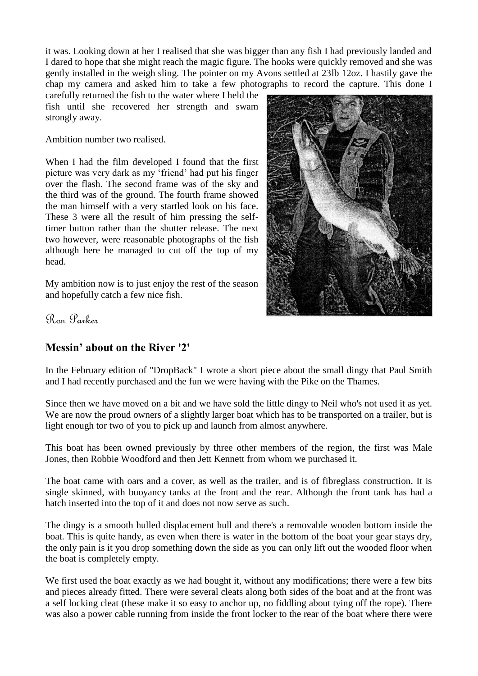it was. Looking down at her I realised that she was bigger than any fish I had previously landed and I dared to hope that she might reach the magic figure. The hooks were quickly removed and she was gently installed in the weigh sling. The pointer on my Avons settled at 23lb 12oz. I hastily gave the chap my camera and asked him to take a few photographs to record the capture. This done I

carefully returned the fish to the water where I held the fish until she recovered her strength and swam strongly away.

Ambition number two realised.

When I had the film developed I found that the first picture was very dark as my "friend" had put his finger over the flash. The second frame was of the sky and the third was of the ground. The fourth frame showed the man himself with a very startled look on his face. These 3 were all the result of him pressing the selftimer button rather than the shutter release. The next two however, were reasonable photographs of the fish although here he managed to cut off the top of my head.

My ambition now is to just enjoy the rest of the season and hopefully catch a few nice fish.



Ron Parker

# **Messin' about on the River '2'**

In the February edition of "DropBack" I wrote a short piece about the small dingy that Paul Smith and I had recently purchased and the fun we were having with the Pike on the Thames.

Since then we have moved on a bit and we have sold the little dingy to Neil who's not used it as yet. We are now the proud owners of a slightly larger boat which has to be transported on a trailer, but is light enough tor two of you to pick up and launch from almost anywhere.

This boat has been owned previously by three other members of the region, the first was Male Jones, then Robbie Woodford and then Jett Kennett from whom we purchased it.

The boat came with oars and a cover, as well as the trailer, and is of fibreglass construction. It is single skinned, with buoyancy tanks at the front and the rear. Although the front tank has had a hatch inserted into the top of it and does not now serve as such.

The dingy is a smooth hulled displacement hull and there's a removable wooden bottom inside the boat. This is quite handy, as even when there is water in the bottom of the boat your gear stays dry, the only pain is it you drop something down the side as you can only lift out the wooded floor when the boat is completely empty.

We first used the boat exactly as we had bought it, without any modifications; there were a few bits and pieces already fitted. There were several cleats along both sides of the boat and at the front was a self locking cleat (these make it so easy to anchor up, no fiddling about tying off the rope). There was also a power cable running from inside the front locker to the rear of the boat where there were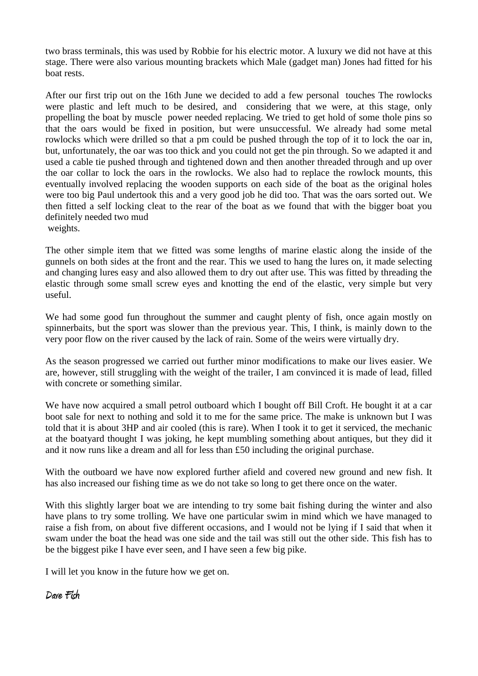two brass terminals, this was used by Robbie for his electric motor. A luxury we did not have at this stage. There were also various mounting brackets which Male (gadget man) Jones had fitted for his boat rests.

After our first trip out on the 16th June we decided to add a few personal touches The rowlocks were plastic and left much to be desired, and considering that we were, at this stage, only propelling the boat by muscle power needed replacing. We tried to get hold of some thole pins so that the oars would be fixed in position, but were unsuccessful. We already had some metal rowlocks which were drilled so that a pm could be pushed through the top of it to lock the oar in, but, unfortunately, the oar was too thick and you could not get the pin through. So we adapted it and used a cable tie pushed through and tightened down and then another threaded through and up over the oar collar to lock the oars in the rowlocks. We also had to replace the rowlock mounts, this eventually involved replacing the wooden supports on each side of the boat as the original holes were too big Paul undertook this and a very good job he did too. That was the oars sorted out. We then fitted a self locking cleat to the rear of the boat as we found that with the bigger boat you definitely needed two mud

weights.

The other simple item that we fitted was some lengths of marine elastic along the inside of the gunnels on both sides at the front and the rear. This we used to hang the lures on, it made selecting and changing lures easy and also allowed them to dry out after use. This was fitted by threading the elastic through some small screw eyes and knotting the end of the elastic, very simple but very useful.

We had some good fun throughout the summer and caught plenty of fish, once again mostly on spinnerbaits, but the sport was slower than the previous year. This, I think, is mainly down to the very poor flow on the river caused by the lack of rain. Some of the weirs were virtually dry.

As the season progressed we carried out further minor modifications to make our lives easier. We are, however, still struggling with the weight of the trailer, I am convinced it is made of lead, filled with concrete or something similar.

We have now acquired a small petrol outboard which I bought off Bill Croft. He bought it at a car boot sale for next to nothing and sold it to me for the same price. The make is unknown but I was told that it is about 3HP and air cooled (this is rare). When I took it to get it serviced, the mechanic at the boatyard thought I was joking, he kept mumbling something about antiques, but they did it and it now runs like a dream and all for less than £50 including the original purchase.

With the outboard we have now explored further afield and covered new ground and new fish. It has also increased our fishing time as we do not take so long to get there once on the water.

With this slightly larger boat we are intending to try some bait fishing during the winter and also have plans to try some trolling. We have one particular swim in mind which we have managed to raise a fish from, on about five different occasions, and I would not be lying if I said that when it swam under the boat the head was one side and the tail was still out the other side. This fish has to be the biggest pike I have ever seen, and I have seen a few big pike.

I will let you know in the future how we get on.

**Dave Fish**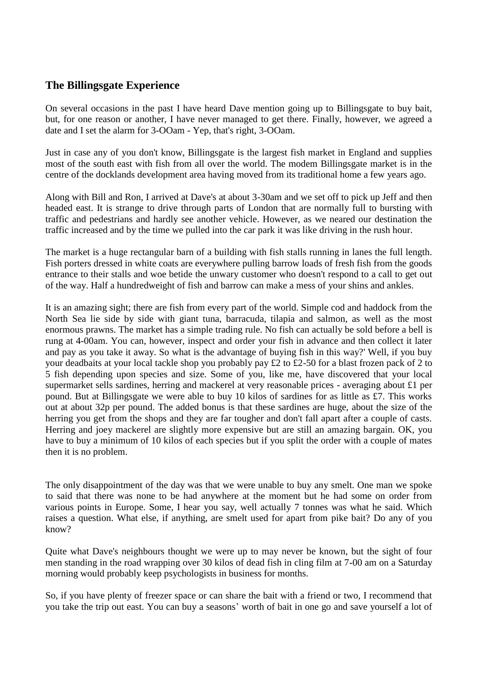## **The Billingsgate Experience**

On several occasions in the past I have heard Dave mention going up to Billingsgate to buy bait, but, for one reason or another, I have never managed to get there. Finally, however, we agreed a date and I set the alarm for 3-OOam - Yep, that's right, 3-OOam.

Just in case any of you don't know, Billingsgate is the largest fish market in England and supplies most of the south east with fish from all over the world. The modem Billingsgate market is in the centre of the docklands development area having moved from its traditional home a few years ago.

Along with Bill and Ron, I arrived at Dave's at about 3-30am and we set off to pick up Jeff and then headed east. It is strange to drive through parts of London that are normally full to bursting with traffic and pedestrians and hardly see another vehicle. However, as we neared our destination the traffic increased and by the time we pulled into the car park it was like driving in the rush hour.

The market is a huge rectangular barn of a building with fish stalls running in lanes the full length. Fish porters dressed in white coats are everywhere pulling barrow loads of fresh fish from the goods entrance to their stalls and woe betide the unwary customer who doesn't respond to a call to get out of the way. Half a hundredweight of fish and barrow can make a mess of your shins and ankles.

It is an amazing sight; there are fish from every part of the world. Simple cod and haddock from the North Sea lie side by side with giant tuna, barracuda, tilapia and salmon, as well as the most enormous prawns. The market has a simple trading rule. No fish can actually be sold before a bell is rung at 4-00am. You can, however, inspect and order your fish in advance and then collect it later and pay as you take it away. So what is the advantage of buying fish in this way?' Well, if you buy your deadbaits at your local tackle shop you probably pay £2 to £2-50 for a blast frozen pack of 2 to 5 fish depending upon species and size. Some of you, like me, have discovered that your local supermarket sells sardines, herring and mackerel at very reasonable prices - averaging about £1 per pound. But at Billingsgate we were able to buy 10 kilos of sardines for as little as £7. This works out at about 32p per pound. The added bonus is that these sardines are huge, about the size of the herring you get from the shops and they are far tougher and don't fall apart after a couple of casts. Herring and joey mackerel are slightly more expensive but are still an amazing bargain. OK, you have to buy a minimum of 10 kilos of each species but if you split the order with a couple of mates then it is no problem.

The only disappointment of the day was that we were unable to buy any smelt. One man we spoke to said that there was none to be had anywhere at the moment but he had some on order from various points in Europe. Some, I hear you say, well actually 7 tonnes was what he said. Which raises a question. What else, if anything, are smelt used for apart from pike bait? Do any of you know?

Quite what Dave's neighbours thought we were up to may never be known, but the sight of four men standing in the road wrapping over 30 kilos of dead fish in cling film at 7-00 am on a Saturday morning would probably keep psychologists in business for months.

So, if you have plenty of freezer space or can share the bait with a friend or two, I recommend that you take the trip out east. You can buy a seasons" worth of bait in one go and save yourself a lot of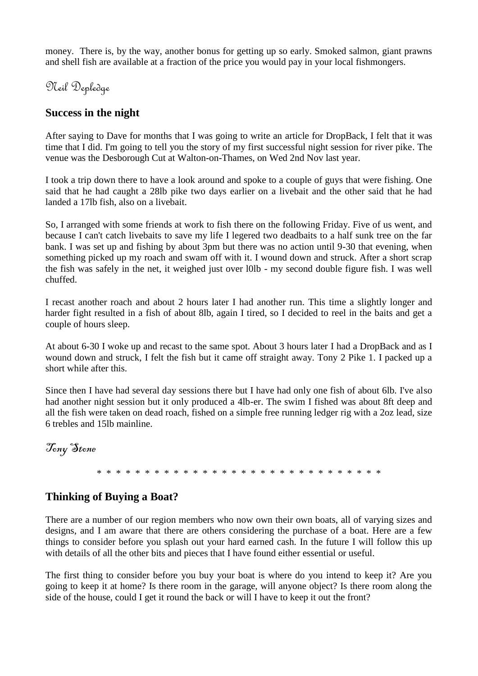money. There is, by the way, another bonus for getting up so early. Smoked salmon, giant prawns and shell fish are available at a fraction of the price you would pay in your local fishmongers.

Neil Depledge

## **Success in the night**

After saying to Dave for months that I was going to write an article for DropBack, I felt that it was time that I did. I'm going to tell you the story of my first successful night session for river pike. The venue was the Desborough Cut at Walton-on-Thames, on Wed 2nd Nov last year.

I took a trip down there to have a look around and spoke to a couple of guys that were fishing. One said that he had caught a 28lb pike two days earlier on a livebait and the other said that he had landed a 17lb fish, also on a livebait.

So, I arranged with some friends at work to fish there on the following Friday. Five of us went, and because I can't catch livebaits to save my life I legered two deadbaits to a half sunk tree on the far bank. I was set up and fishing by about 3pm but there was no action until 9-30 that evening, when something picked up my roach and swam off with it. I wound down and struck. After a short scrap the fish was safely in the net, it weighed just over l0lb - my second double figure fish. I was well chuffed.

I recast another roach and about 2 hours later I had another run. This time a slightly longer and harder fight resulted in a fish of about 8lb, again I tired, so I decided to reel in the baits and get a couple of hours sleep.

At about 6-30 I woke up and recast to the same spot. About 3 hours later I had a DropBack and as I wound down and struck, I felt the fish but it came off straight away. Tony 2 Pike 1. I packed up a short while after this.

Since then I have had several day sessions there but I have had only one fish of about 6lb. I've also had another night session but it only produced a 4lb-er. The swim I fished was about 8ft deep and all the fish were taken on dead roach, fished on a simple free running ledger rig with a 2oz lead, size 6 trebles and 15lb mainline.

Tony Stone

\* \* \* \* \* \* \* \* \* \* \* \* \* \* \* \* \* \* \* \* \* \* \* \* \* \* \* \* \* \*

# **Thinking of Buying a Boat?**

There are a number of our region members who now own their own boats, all of varying sizes and designs, and I am aware that there are others considering the purchase of a boat. Here are a few things to consider before you splash out your hard earned cash. In the future I will follow this up with details of all the other bits and pieces that I have found either essential or useful.

The first thing to consider before you buy your boat is where do you intend to keep it? Are you going to keep it at home? Is there room in the garage, will anyone object? Is there room along the side of the house, could I get it round the back or will I have to keep it out the front?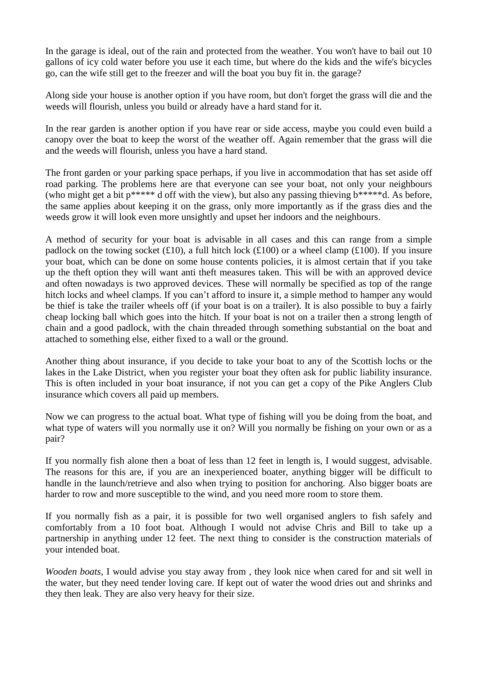In the garage is ideal, out of the rain and protected from the weather. You won't have to bail out 10 gallons of icy cold water before you use it each time, but where do the kids and the wife's bicycles go, can the wife still get to the freezer and will the boat you buy fit in. the garage?

Along side your house is another option if you have room, but don't forget the grass will die and the weeds will flourish, unless you build or already have a hard stand for it.

In the rear garden is another option if you have rear or side access, maybe you could even build a canopy over the boat to keep the worst of the weather off. Again remember that the grass will die and the weeds will flourish, unless you have a hard stand.

The front garden or your parking space perhaps, if you live in accommodation that has set aside off road parking. The problems here are that everyone can see your boat, not only your neighbours (who might get a bit p\*\*\*\*\* d off with the view), but also any passing thieving b\*\*\*\*\*d. As before, the same applies about keeping it on the grass, only more importantly as if the grass dies and the weeds grow it will look even more unsightly and upset her indoors and the neighbours.

A method of security for your boat is advisable in all cases and this can range from a simple padlock on the towing socket (£10), a full hitch lock (£100) or a wheel clamp (£100). If you insure your boat, which can be done on some house contents policies, it is almost certain that if you take up the theft option they will want anti theft measures taken. This will be with an approved device and often nowadays is two approved devices. These will normally be specified as top of the range hitch locks and wheel clamps. If you can't afford to insure it, a simple method to hamper any would be thief is take the trailer wheels off (if your boat is on a trailer). It is also possible to buy a fairly cheap locking ball which goes into the hitch. If your boat is not on a trailer then a strong length of chain and a good padlock, with the chain threaded through something substantial on the boat and attached to something else, either fixed to a wall or the ground.

Another thing about insurance, if you decide to take your boat to any of the Scottish lochs or the lakes in the Lake District, when you register your boat they often ask for public liability insurance. This is often included in your boat insurance, if not you can get a copy of the Pike Anglers Club insurance which covers all paid up members.

Now we can progress to the actual boat. What type of fishing will you be doing from the boat, and what type of waters will you normally use it on? Will you normally be fishing on your own or as a pair?

If you normally fish alone then a boat of less than 12 feet in length is, I would suggest, advisable. The reasons for this are, if you are an inexperienced boater, anything bigger will be difficult to handle in the launch/retrieve and also when trying to position for anchoring. Also bigger boats are harder to row and more susceptible to the wind, and you need more room to store them.

If you normally fish as a pair, it is possible for two well organised anglers to fish safely and comfortably from a 10 foot boat. Although I would not advise Chris and Bill to take up a partnership in anything under 12 feet. The next thing to consider is the construction materials of your intended boat.

*Wooden boats*, I would advise you stay away from , they look nice when cared for and sit well in the water, but they need tender loving care. If kept out of water the wood dries out and shrinks and they then leak. They are also very heavy for their size.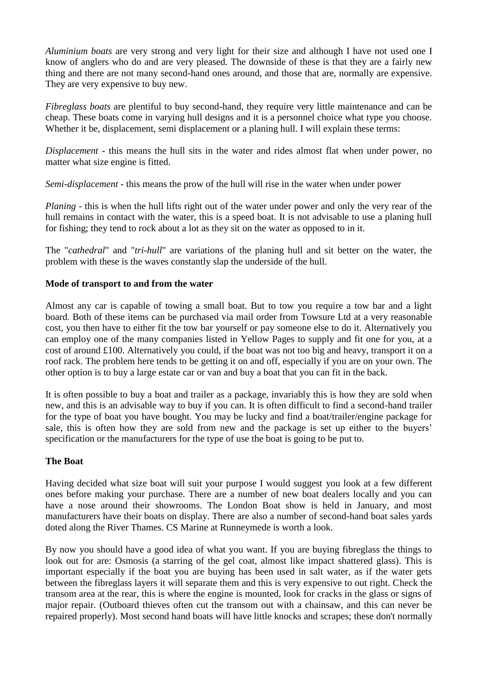*Aluminium boats* are very strong and very light for their size and although I have not used one I know of anglers who do and are very pleased. The downside of these is that they are a fairly new thing and there are not many second-hand ones around, and those that are, normally are expensive. They are very expensive to buy new.

*Fibreglass boats* are plentiful to buy second-hand, they require very little maintenance and can be cheap. These boats come in varying hull designs and it is a personnel choice what type you choose. Whether it be, displacement, semi displacement or a planing hull. I will explain these terms:

*Displacement* - this means the hull sits in the water and rides almost flat when under power, no matter what size engine is fitted.

*Semi-displacement* - this means the prow of the hull will rise in the water when under power

*Planing* - this is when the hull lifts right out of the water under power and only the very rear of the hull remains in contact with the water, this is a speed boat. It is not advisable to use a planing hull for fishing; they tend to rock about a lot as they sit on the water as opposed to in it.

The "*cathedral*" and "*tri-hull*" are variations of the planing hull and sit better on the water, the problem with these is the waves constantly slap the underside of the hull.

#### **Mode of transport to and from the water**

Almost any car is capable of towing a small boat. But to tow you require a tow bar and a light board. Both of these items can be purchased via mail order from Towsure Ltd at a very reasonable cost, you then have to either fit the tow bar yourself or pay someone else to do it. Alternatively you can employ one of the many companies listed in Yellow Pages to supply and fit one for you, at a cost of around £100. Alternatively you could, if the boat was not too big and heavy, transport it on a roof rack. The problem here tends to be getting it on and off, especially if you are on your own. The other option is to buy a large estate car or van and buy a boat that you can fit in the back.

It is often possible to buy a boat and trailer as a package, invariably this is how they are sold when new, and this is an advisable way to buy if you can. It is often difficult to find a second-hand trailer for the type of boat you have bought. You may be lucky and find a boat/trailer/engine package for sale, this is often how they are sold from new and the package is set up either to the buyers' specification or the manufacturers for the type of use the boat is going to be put to.

#### **The Boat**

Having decided what size boat will suit your purpose I would suggest you look at a few different ones before making your purchase. There are a number of new boat dealers locally and you can have a nose around their showrooms. The London Boat show is held in January, and most manufacturers have their boats on display. There are also a number of second-hand boat sales yards doted along the River Thames. CS Marine at Runneymede is worth a look.

By now you should have a good idea of what you want. If you are buying fibreglass the things to look out for are: Osmosis (a starring of the gel coat, almost like impact shattered glass). This is important especially if the boat you are buying has been used in salt water, as if the water gets between the fibreglass layers it will separate them and this is very expensive to out right. Check the transom area at the rear, this is where the engine is mounted, look for cracks in the glass or signs of major repair. (Outboard thieves often cut the transom out with a chainsaw, and this can never be repaired properly). Most second hand boats will have little knocks and scrapes; these don't normally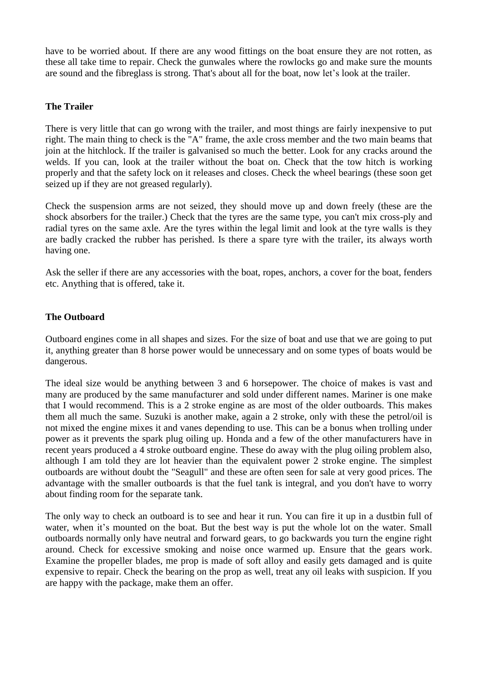have to be worried about. If there are any wood fittings on the boat ensure they are not rotten, as these all take time to repair. Check the gunwales where the rowlocks go and make sure the mounts are sound and the fibreglass is strong. That's about all for the boat, now let"s look at the trailer.

#### **The Trailer**

There is very little that can go wrong with the trailer, and most things are fairly inexpensive to put right. The main thing to check is the "A" frame, the axle cross member and the two main beams that join at the hitchlock. If the trailer is galvanised so much the better. Look for any cracks around the welds. If you can, look at the trailer without the boat on. Check that the tow hitch is working properly and that the safety lock on it releases and closes. Check the wheel bearings (these soon get seized up if they are not greased regularly).

Check the suspension arms are not seized, they should move up and down freely (these are the shock absorbers for the trailer.) Check that the tyres are the same type, you can't mix cross-ply and radial tyres on the same axle. Are the tyres within the legal limit and look at the tyre walls is they are badly cracked the rubber has perished. Is there a spare tyre with the trailer, its always worth having one.

Ask the seller if there are any accessories with the boat, ropes, anchors, a cover for the boat, fenders etc. Anything that is offered, take it.

#### **The Outboard**

Outboard engines come in all shapes and sizes. For the size of boat and use that we are going to put it, anything greater than 8 horse power would be unnecessary and on some types of boats would be dangerous.

The ideal size would be anything between 3 and 6 horsepower. The choice of makes is vast and many are produced by the same manufacturer and sold under different names. Mariner is one make that I would recommend. This is a 2 stroke engine as are most of the older outboards. This makes them all much the same. Suzuki is another make, again a 2 stroke, only with these the petrol/oil is not mixed the engine mixes it and vanes depending to use. This can be a bonus when trolling under power as it prevents the spark plug oiling up. Honda and a few of the other manufacturers have in recent years produced a 4 stroke outboard engine. These do away with the plug oiling problem also, although I am told they are lot heavier than the equivalent power 2 stroke engine. The simplest outboards are without doubt the "Seagull" and these are often seen for sale at very good prices. The advantage with the smaller outboards is that the fuel tank is integral, and you don't have to worry about finding room for the separate tank.

The only way to check an outboard is to see and hear it run. You can fire it up in a dustbin full of water, when it's mounted on the boat. But the best way is put the whole lot on the water. Small outboards normally only have neutral and forward gears, to go backwards you turn the engine right around. Check for excessive smoking and noise once warmed up. Ensure that the gears work. Examine the propeller blades, me prop is made of soft alloy and easily gets damaged and is quite expensive to repair. Check the bearing on the prop as well, treat any oil leaks with suspicion. If you are happy with the package, make them an offer.